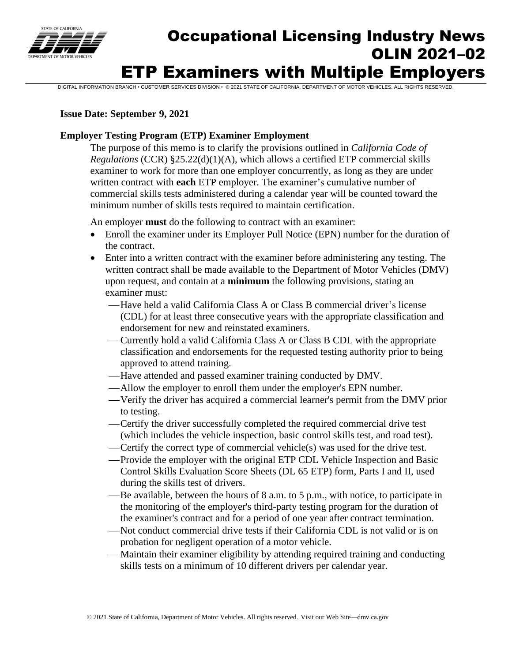

# Occupational Licensing Industry News OLIN 2021–02 ETP Examiners with Multiple Employers

DIGITAL INFORMATION BRANCH • CUSTOMER SERVICES DIVISION • © 2021 STATE OF CALIFORNIA, DEPARTMENT OF MOTOR VEHICLES. ALL RIGHTS RESERVED.

### **Issue Date: September 9, 2021**

## **Employer Testing Program (ETP) Examiner Employment**

The purpose of this memo is to clarify the provisions outlined in *California Code of Regulations* (CCR) §25.22(d)(1)(A), which allows a certified ETP commercial skills examiner to work for more than one employer concurrently, as long as they are under written contract with **each** ETP employer. The examiner's cumulative number of commercial skills tests administered during a calendar year will be counted toward the minimum number of skills tests required to maintain certification.

An employer **must** do the following to contract with an examiner:

- Enroll the examiner under its Employer Pull Notice (EPN) number for the duration of the contract.
- Enter into a written contract with the examiner before administering any testing. The written contract shall be made available to the Department of Motor Vehicles (DMV) upon request, and contain at a **minimum** the following provisions, stating an examiner must:
	- ⎯Have held a valid California Class A or Class B commercial driver's license (CDL) for at least three consecutive years with the appropriate classification and endorsement for new and reinstated examiners.
	- —Currently hold a valid California Class A or Class B CDL with the appropriate classification and endorsements for the requested testing authority prior to being approved to attend training.
	- —Have attended and passed examiner training conducted by DMV.
	- —Allow the employer to enroll them under the employer's EPN number.
	- ⎯Verify the driver has acquired a commercial learner's permit from the DMV prior to testing.
	- ⎯Certify the driver successfully completed the required commercial drive test (which includes the vehicle inspection, basic control skills test, and road test).
	- —Certify the correct type of commercial vehicle(s) was used for the drive test.
	- -Provide the employer with the original ETP CDL Vehicle Inspection and Basic Control Skills Evaluation Score Sheets (DL 65 ETP) form, Parts I and II, used during the skills test of drivers.
	- Be available, between the hours of 8 a.m. to 5 p.m., with notice, to participate in the monitoring of the employer's third-party testing program for the duration of the examiner's contract and for a period of one year after contract termination.
	- —Not conduct commercial drive tests if their California CDL is not valid or is on probation for negligent operation of a motor vehicle.
	- —Maintain their examiner eligibility by attending required training and conducting skills tests on a minimum of 10 different drivers per calendar year.